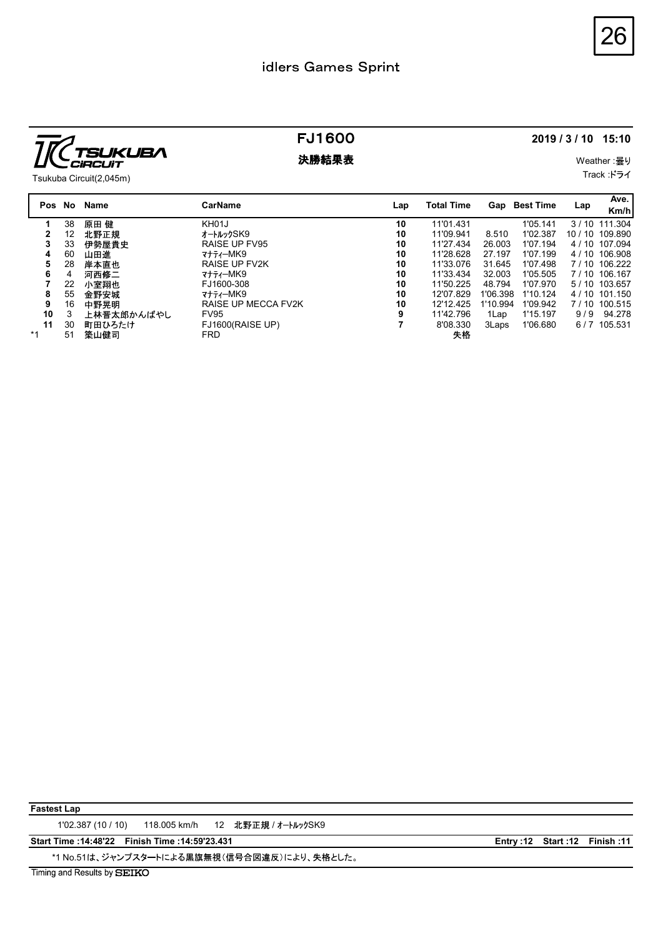

|                                                                                                                                                                                                                             | idlers Games Sprint                                                                                                                                                            |                                                                           |                                                                                                                                                  |                                                                                                           |                                                                                                                      |                                                                                                                                                                 | 26                        |
|-----------------------------------------------------------------------------------------------------------------------------------------------------------------------------------------------------------------------------|--------------------------------------------------------------------------------------------------------------------------------------------------------------------------------|---------------------------------------------------------------------------|--------------------------------------------------------------------------------------------------------------------------------------------------|-----------------------------------------------------------------------------------------------------------|----------------------------------------------------------------------------------------------------------------------|-----------------------------------------------------------------------------------------------------------------------------------------------------------------|---------------------------|
| <b>KUBA</b><br>CiRCUiT<br>Tsukuba Circuit(2,045m)                                                                                                                                                                           | <b>FJ1600</b><br>決勝結果表                                                                                                                                                         | 2019 / 3 / 10 15:10<br>Weather: 曇り<br>Track :ドライ                          |                                                                                                                                                  |                                                                                                           |                                                                                                                      |                                                                                                                                                                 |                           |
| Pos No Name                                                                                                                                                                                                                 | <b>CarName</b>                                                                                                                                                                 | Lap                                                                       | <b>Total Time</b>                                                                                                                                | Gap Best Time                                                                                             |                                                                                                                      | Lap                                                                                                                                                             | Ave.<br>Km/h              |
| 38<br>原田 健<br>1<br>12<br>北野正規<br>$\mathbf{2}$<br>33<br>伊勢屋貴史<br>3<br>60<br>山田進<br>4<br>28<br>岸本直也<br>5<br>河西修二<br>4<br>6<br>22<br>小室翔也<br>55<br>金野安城<br>8<br>16<br>中野晃明<br>9<br>3<br>上林晋太郎かんばやし<br>10<br>30<br>11<br>町田ひろたけ | KH01J<br>オートルックSK9<br>RAISE UP FV95<br>マナティーMK9<br>RAISE UP FV2K<br>マナティーMK9<br>FJ1600-308<br>マナティーMK9<br>RAISE UP MECCA FV2K<br><b>FV95</b><br>FJ1600(RAISE UP)<br><b>FRD</b> | 10<br>10<br>10<br>10<br>10<br>10<br>10<br>10<br>10<br>9<br>$\overline{7}$ | 11'01.431<br>11'09.941<br>11'27.434<br>11'28.628<br>11'33.076<br>11'33.434<br>11'50.225<br>12'07.829<br>12'12.425<br>11'42.796<br>8'08.330<br>失格 | 8.510<br>26.003<br>27.197<br>31.645<br>32.003<br>48.794<br>1'06.398 1'10.124<br>1'10.994<br>1Lap<br>3Laps | 1'05.141<br>1'02.387<br>1'07.194<br>1'07.199<br>1'07.498<br>1'05.505<br>1'07.970<br>1'09.942<br>1'15.197<br>1'06.680 | 3 / 10 111.304<br>10 / 10 109.890<br>4 / 10 107.094<br>4 / 10 106.908<br>7 / 10 106.222<br>7 / 10 106.167<br>5 / 10 103.657<br>4 / 10 101.150<br>7 / 10 100.515 | 9/9 94.278<br>6/7 105.531 |

Fastest Lap

1'02.387 (10 / 10) 118.005 km/h 12 北野正規 / オートルックSK9

Fastest Lap<br>102.387 (10/10) 118.005 km/h 12 北野正規 / オールッタSK9<br>Start Time :114:4822 Finish Time :14:5923.431 Entry :12 Start :12 Finish :11<br>Trning and Results by SIBIIKO<br>Trning and Results by SIBIIKO \*1 No.51は、ジャンプスタートによる黒旗無視(信号合図違反)により、失格とした。

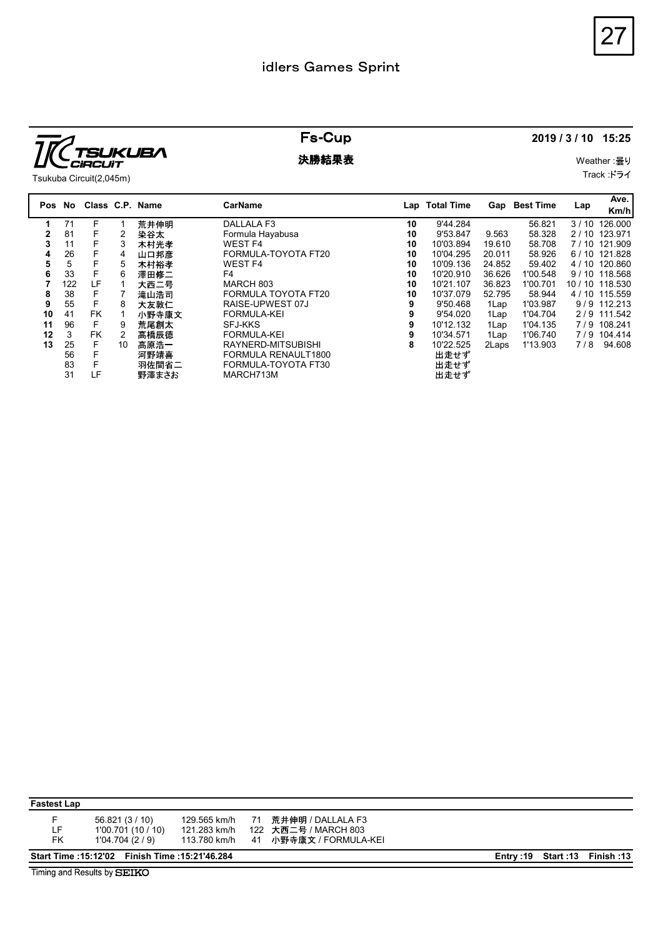

|                                                                                                                                                                                                                                                                                                                                                                                                                                                                                                                                                                   | idlers Games Sprint                                                                                                                                                                                                                                                                                    |                                                                       |                                                                                                                                                                                           |                                                                                                                                                                                                                                                            | 27                                                                                                                                                                                                                      |
|-------------------------------------------------------------------------------------------------------------------------------------------------------------------------------------------------------------------------------------------------------------------------------------------------------------------------------------------------------------------------------------------------------------------------------------------------------------------------------------------------------------------------------------------------------------------|--------------------------------------------------------------------------------------------------------------------------------------------------------------------------------------------------------------------------------------------------------------------------------------------------------|-----------------------------------------------------------------------|-------------------------------------------------------------------------------------------------------------------------------------------------------------------------------------------|------------------------------------------------------------------------------------------------------------------------------------------------------------------------------------------------------------------------------------------------------------|-------------------------------------------------------------------------------------------------------------------------------------------------------------------------------------------------------------------------|
| <b>SUKUBA</b><br>CiRCUIT                                                                                                                                                                                                                                                                                                                                                                                                                                                                                                                                          | <b>Fs-Cup</b><br>決勝結果表                                                                                                                                                                                                                                                                                 |                                                                       |                                                                                                                                                                                           | 2019 / 3 / 10 15:25<br>Weather: 曇り                                                                                                                                                                                                                         |                                                                                                                                                                                                                         |
| Tsukuba Circuit(2,045m)                                                                                                                                                                                                                                                                                                                                                                                                                                                                                                                                           |                                                                                                                                                                                                                                                                                                        |                                                                       |                                                                                                                                                                                           |                                                                                                                                                                                                                                                            | Track :ドライ                                                                                                                                                                                                              |
| Class C.P. Name<br>Pos No                                                                                                                                                                                                                                                                                                                                                                                                                                                                                                                                         | <b>CarName</b>                                                                                                                                                                                                                                                                                         |                                                                       | Lap Total Time                                                                                                                                                                            | Gap Best Time                                                                                                                                                                                                                                              | Ave.<br>Lap<br>Km/h                                                                                                                                                                                                     |
| 71<br>荒井伸明<br>F<br>$\mathbf{1}$<br>81<br>F<br>$\overline{c}$<br>染谷太<br>$\mathbf{2}$<br>3<br>F<br>3<br>11<br>木村光孝<br>26<br>F.<br>4<br>山口邦彦<br>4<br>$\overline{5}$<br>F<br>5<br>5<br>木村裕孝<br>33<br>F<br>澤田修二<br>6<br>6<br>LF<br>122<br>$\overline{7}$<br>大西二号<br>$\overline{1}$<br>38<br>F<br>8<br>$\overline{7}$<br>滝山浩司<br>55<br>F.<br>大友敦仁<br>9<br>8<br>FK<br>10<br>41<br>小野寺康文<br>$\overline{1}$<br>96<br>F<br>11<br>9<br>荒尾創太<br>3<br><b>FK</b><br>2<br>12<br>高橋辰徳<br>25<br>F<br>13<br>高原浩一<br>10<br>F.<br>56<br>河野靖喜<br>F<br>83<br>羽佐間省二<br>31<br>LF<br>野澤まさお | DALLALA F3<br>Formula Hayabusa<br><b>WEST F4</b><br>FORMULA-TOYOTA FT20<br><b>WEST F4</b><br>F4<br>MARCH 803<br>FORMULA TOYOTA FT20<br>RAISE-UPWEST 07J<br><b>FORMULA-KEI</b><br><b>SFJ-KKS</b><br><b>FORMULA-KEI</b><br>RAYNERD-MITSUBISHI<br>FORMULA RENAULT1800<br>FORMULA-TOYOTA FT30<br>MARCH713M | 10<br>10<br>10<br>10<br>10<br>10<br>10<br>10<br>9<br>9<br>9<br>9<br>8 | 9'44.284<br>9'53.847<br>10'03.894<br>10'04.295<br>10'09.136<br>10'20.910<br>10'21.107<br>10'37.079<br>9'50.468<br>9'54.020<br>10'12.132<br>10'34.571<br>10'22.525<br>出走せず<br>出走せず<br>出走せず | 56.821<br>9.563<br>58.328<br>19.610<br>58.708<br>20.011<br>58.926<br>24.852<br>59.402<br>36.626<br>1'00.548<br>36.823<br>1'00.701<br>52.795<br>58.944<br>1'03.987<br>1Lap<br>1Lap<br>1'04.704<br>1'04.135<br>1Lap<br>1Lap<br>1'06.740<br>2Laps<br>1'13.903 | 3 / 10 126.000<br>2 / 10 123.971<br>7 / 10 121.909<br>6 / 10 121.828<br>4 / 10 120.860<br>9 / 10 118.568<br>10 / 10 118.530<br>4 / 10 115.559<br>9/9 112.213<br>2/9 111.542<br>7/9 108.241<br>7/9 104.414<br>7/8 94.608 |

Fastest Lap

F 56.821 (3 / 10) 129.565 km/h 71 荒井伸明 / DALLALA F3 LF 1'00.701 (10 / 10) 121.283 km/h 122 大西二号 / MARCH 803 FK 1'04.704 (2 / 9) 113.780 km/h 41 小野寺康文 / FORMULA-KEI Fastest Lap<br>
F 16:821 (3/10) 129.565 km/h 71 荒井伸明 / DALLALA F3<br>
LF 1700701 (10:10) 121:223 km/h 122 大西二号 / MARCH 803<br>
Start Time :15:2122 Finish Time :15:21'46.284 Entry :19 Start :13 Finish :13<br>
Entry :19 Start :13 Fini